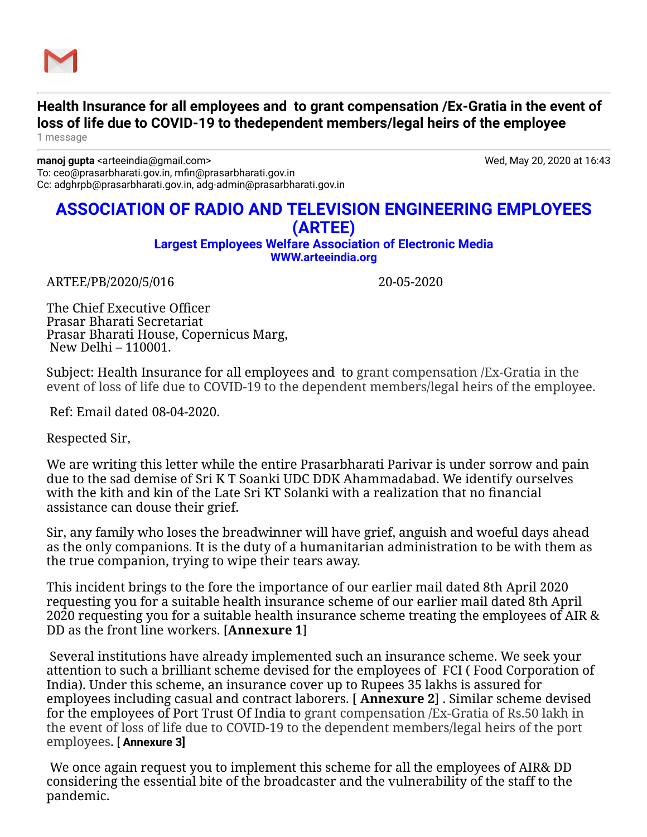

## **Health Insurance for all employees and to grant compensation /Ex-Gratia in the event of loss of life due to COVID-19 to thedependent members/legal heirs of the employee**

1 message

**manoj gupta** <arteeindia@gmail.com> Wed, May 20, 2020 at 16:43 To: ceo@prasarbharati.gov.in, mfin@prasarbharati.gov.in Cc: adghrpb@prasarbharati.gov.in, adg-admin@prasarbharati.gov.in

## **ASSOCIATION OF RADIO AND TELEVISION ENGINEERING EMPLOYEES (ARTEE)**

**Largest Employees Welfare Association of Electronic Media [WWW.arteeindia.org](http://www.arteeindia.org/)**

ARTEE/PB/2020/5/016 20-05-2020

The Chief Executive Officer Prasar Bharati Secretariat Prasar Bharati House, Copernicus Marg, New Delhi – 110001.

Subject: Health Insurance for all employees and to grant compensation /Ex-Gratia in the event of loss of life due to COVID-19 to the dependent members/legal heirs of the employee.

Ref: Email dated 08-04-2020.

Respected Sir,

We are writing this letter while the entire Prasarbharati Parivar is under sorrow and pain due to the sad demise of Sri K T Soanki UDC DDK Ahammadabad. We identify ourselves with the kith and kin of the Late Sri KT Solanki with a realization that no financial assistance can douse their grief.

Sir, any family who loses the breadwinner will have grief, anguish and woeful days ahead as the only companions. It is the duty of a humanitarian administration to be with them as the true companion, trying to wipe their tears away.

This incident brings to the fore the importance of our earlier mail dated 8th April 2020 requesting you for a suitable health insurance scheme of our earlier mail dated 8th April 2020 requesting you for a suitable health insurance scheme treating the employees of AIR & DD as the front line workers. [**Annexure 1**]

 Several institutions have already implemented such an insurance scheme. We seek your attention to such a brilliant scheme devised for the employees of FCI ( Food Corporation of India). Under this scheme, an insurance cover up to Rupees 35 lakhs is assured for employees including casual and contract laborers. [ **Annexure 2**] . Similar scheme devised for the employees of Port Trust Of India to grant compensation /Ex-Gratia of Rs.50 lakh in the event of loss of life due to COVID-19 to the dependent members/legal heirs of the port employees. [ **Annexure 3]**

 We once again request you to implement this scheme for all the employees of AIR& DD considering the essential bite of the broadcaster and the vulnerability of the staff to the pandemic.